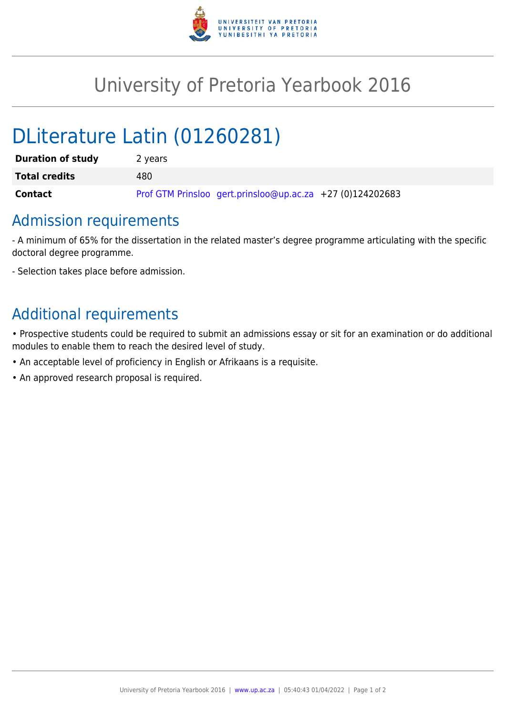

## University of Pretoria Yearbook 2016

# DLiterature Latin (01260281)

| <b>Duration of study</b> | 2 years                                                   |
|--------------------------|-----------------------------------------------------------|
| <b>Total credits</b>     | 480                                                       |
| <b>Contact</b>           | Prof GTM Prinsloo gert.prinsloo@up.ac.za +27 (0)124202683 |

### Admission requirements

- A minimum of 65% for the dissertation in the related master's degree programme articulating with the specific doctoral degree programme.

- Selection takes place before admission.

### Additional requirements

• Prospective students could be required to submit an admissions essay or sit for an examination or do additional modules to enable them to reach the desired level of study.

- An acceptable level of proficiency in English or Afrikaans is a requisite.
- An approved research proposal is required.